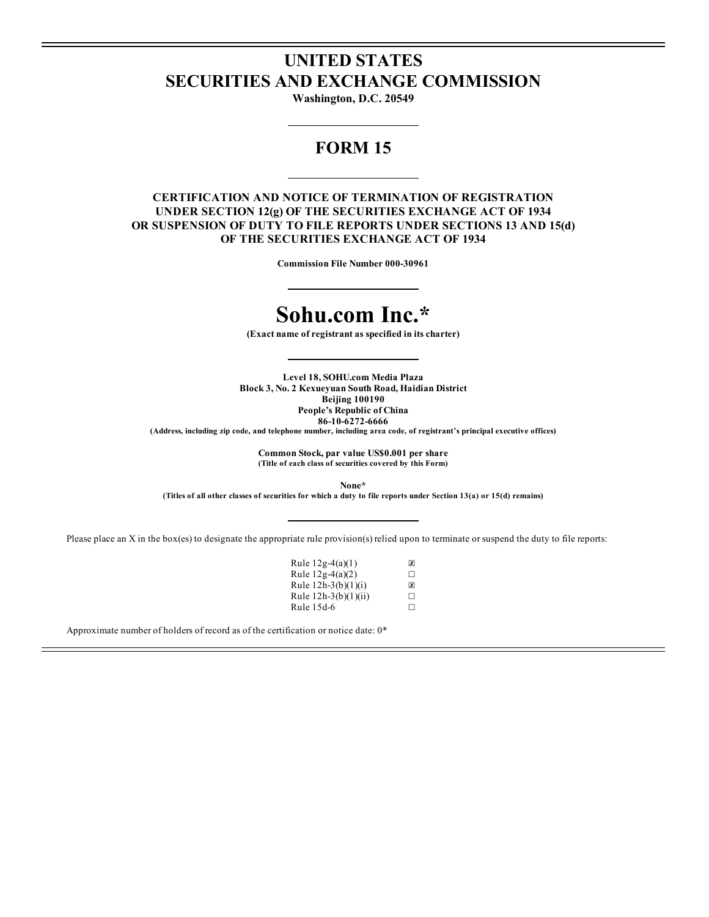## **UNITED STATES SECURITIES AND EXCHANGE COMMISSION**

**Washington, D.C. 20549**

## **FORM 15**

### **CERTIFICATION AND NOTICE OF TERMINATION OF REGISTRATION UNDER SECTION 12(g) OF THE SECURITIES EXCHANGE ACT OF 1934 OR SUSPENSION OF DUTY TO FILE REPORTS UNDER SECTIONS 13 AND 15(d) OF THE SECURITIES EXCHANGE ACT OF 1934**

**Commission File Number 000-30961**

# **Sohu.com Inc.\***

**(Exact name of registrant as specified in its charter)**

**Level 18, SOHU.com Media Plaza Block 3, No. 2 Kexueyuan South Road, Haidian District Beijing 100190 People's Republic of China 86-10-6272-6666**

**(Address, including zip code, and telephone number, including area code, of registrant's principal executive offices)**

**Common Stock, par value US\$0.001 per share (Title of each class of securities covered by this Form)**

**None\***

(Titles of all other classes of securities for which a duty to file reports under Section 13(a) or 15(d) remains)

Please place an X in the box(es) to designate the appropriate rule provision(s) relied upon to terminate or suspend the duty to file reports:

| Rule $12g-4(a)(1)$   | $\overline{x}$ |
|----------------------|----------------|
| Rule 12g-4(a)(2)     | П              |
| Rule 12h-3(b)(1)(i)  | ΙXΙ            |
| Rule 12h-3(b)(1)(ii) | п              |
| Rule 15d-6           | П              |

Approximate number of holders of record as of the certification or notice date: 0\*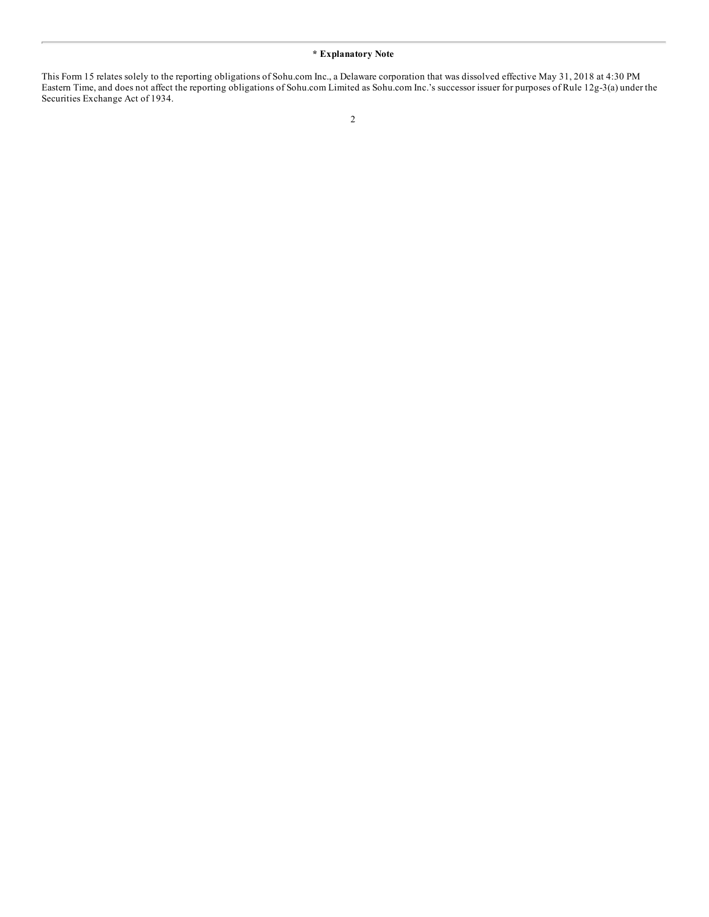#### **\* Explanatory Note**

This Form 15 relates solely to the reporting obligations of Sohu.com Inc., a Delaware corporation that was dissolved effective May 31, 2018 at 4:30 PM Eastern Time, and does not affect the reporting obligations of Sohu.com Limited as Sohu.com Inc.'s successor issuer for purposes of Rule 12g-3(a) under the Securities Exchange Act of 1934.